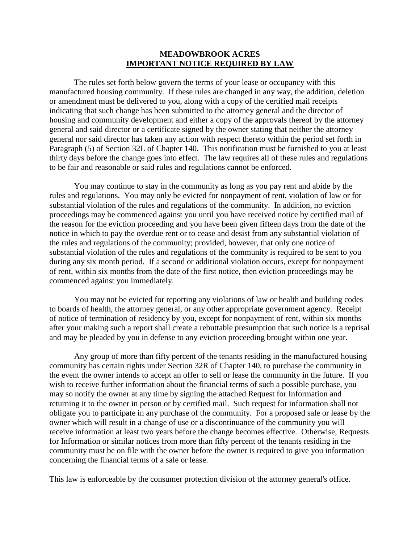#### **MEADOWBROOK ACRES IMPORTANT NOTICE REQUIRED BY LAW**

The rules set forth below govern the terms of your lease or occupancy with this manufactured housing community. If these rules are changed in any way, the addition, deletion or amendment must be delivered to you, along with a copy of the certified mail receipts indicating that such change has been submitted to the attorney general and the director of housing and community development and either a copy of the approvals thereof by the attorney general and said director or a certificate signed by the owner stating that neither the attorney general nor said director has taken any action with respect thereto within the period set forth in Paragraph (5) of Section 32L of Chapter 140. This notification must be furnished to you at least thirty days before the change goes into effect. The law requires all of these rules and regulations to be fair and reasonable or said rules and regulations cannot be enforced.

You may continue to stay in the community as long as you pay rent and abide by the rules and regulations. You may only be evicted for nonpayment of rent, violation of law or for substantial violation of the rules and regulations of the community. In addition, no eviction proceedings may be commenced against you until you have received notice by certified mail of the reason for the eviction proceeding and you have been given fifteen days from the date of the notice in which to pay the overdue rent or to cease and desist from any substantial violation of the rules and regulations of the community; provided, however, that only one notice of substantial violation of the rules and regulations of the community is required to be sent to you during any six month period. If a second or additional violation occurs, except for nonpayment of rent, within six months from the date of the first notice, then eviction proceedings may be commenced against you immediately.

You may not be evicted for reporting any violations of law or health and building codes to boards of health, the attorney general, or any other appropriate government agency. Receipt of notice of termination of residency by you, except for nonpayment of rent, within six months after your making such a report shall create a rebuttable presumption that such notice is a reprisal and may be pleaded by you in defense to any eviction proceeding brought within one year.

Any group of more than fifty percent of the tenants residing in the manufactured housing community has certain rights under Section 32R of Chapter 140, to purchase the community in the event the owner intends to accept an offer to sell or lease the community in the future. If you wish to receive further information about the financial terms of such a possible purchase, you may so notify the owner at any time by signing the attached Request for Information and returning it to the owner in person or by certified mail. Such request for information shall not obligate you to participate in any purchase of the community. For a proposed sale or lease by the owner which will result in a change of use or a discontinuance of the community you will receive information at least two years before the change becomes effective. Otherwise, Requests for Information or similar notices from more than fifty percent of the tenants residing in the community must be on file with the owner before the owner is required to give you information concerning the financial terms of a sale or lease.

This law is enforceable by the consumer protection division of the attorney general's office.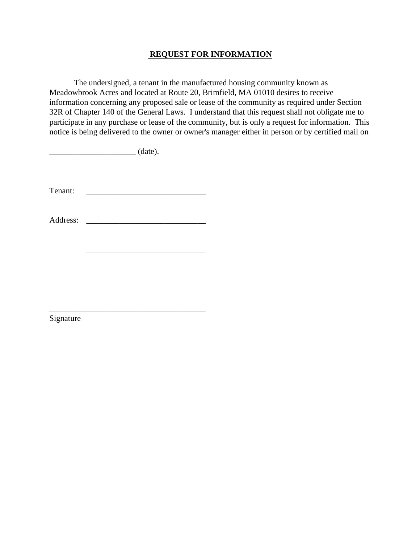#### **REQUEST FOR INFORMATION**

The undersigned, a tenant in the manufactured housing community known as Meadowbrook Acres and located at Route 20, Brimfield, MA 01010 desires to receive information concerning any proposed sale or lease of the community as required under Section 32R of Chapter 140 of the General Laws. I understand that this request shall not obligate me to participate in any purchase or lease of the community, but is only a request for information. This notice is being delivered to the owner or owner's manager either in person or by certified mail on

 $\qquad \qquad \text{(date).}$ 

Tenant:

Address: \_\_\_\_\_\_\_\_\_\_\_\_\_\_\_\_\_\_\_\_\_\_\_\_\_\_\_\_\_

\_\_\_\_\_\_\_\_\_\_\_\_\_\_\_\_\_\_\_\_\_\_\_\_\_\_\_\_\_\_\_\_\_\_\_\_\_\_

\_\_\_\_\_\_\_\_\_\_\_\_\_\_\_\_\_\_\_\_\_\_\_\_\_\_\_\_\_

Signature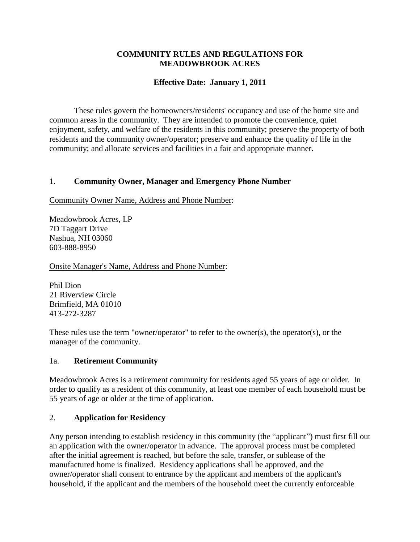#### **COMMUNITY RULES AND REGULATIONS FOR MEADOWBROOK ACRES**

#### **Effective Date: January 1, 2011**

These rules govern the homeowners/residents' occupancy and use of the home site and common areas in the community. They are intended to promote the convenience, quiet enjoyment, safety, and welfare of the residents in this community; preserve the property of both residents and the community owner/operator; preserve and enhance the quality of life in the community; and allocate services and facilities in a fair and appropriate manner.

#### 1. **Community Owner, Manager and Emergency Phone Number**

Community Owner Name, Address and Phone Number:

Meadowbrook Acres, LP 7D Taggart Drive Nashua, NH 03060 603-888-8950

Onsite Manager's Name, Address and Phone Number:

Phil Dion 21 Riverview Circle Brimfield, MA 01010 413-272-3287

These rules use the term "owner/operator" to refer to the owner(s), the operator(s), or the manager of the community.

#### 1a. **Retirement Community**

Meadowbrook Acres is a retirement community for residents aged 55 years of age or older. In order to qualify as a resident of this community, at least one member of each household must be 55 years of age or older at the time of application.

#### 2. **Application for Residency**

Any person intending to establish residency in this community (the "applicant") must first fill out an application with the owner/operator in advance. The approval process must be completed after the initial agreement is reached, but before the sale, transfer, or sublease of the manufactured home is finalized. Residency applications shall be approved, and the owner/operator shall consent to entrance by the applicant and members of the applicant's household, if the applicant and the members of the household meet the currently enforceable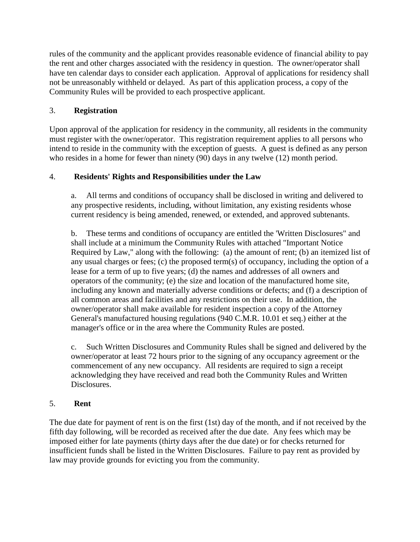rules of the community and the applicant provides reasonable evidence of financial ability to pay the rent and other charges associated with the residency in question. The owner/operator shall have ten calendar days to consider each application. Approval of applications for residency shall not be unreasonably withheld or delayed. As part of this application process, a copy of the Community Rules will be provided to each prospective applicant.

# 3. **Registration**

Upon approval of the application for residency in the community, all residents in the community must register with the owner/operator. This registration requirement applies to all persons who intend to reside in the community with the exception of guests. A guest is defined as any person who resides in a home for fewer than ninety (90) days in any twelve (12) month period.

# 4. **Residents' Rights and Responsibilities under the Law**

a. All terms and conditions of occupancy shall be disclosed in writing and delivered to any prospective residents, including, without limitation, any existing residents whose current residency is being amended, renewed, or extended, and approved subtenants.

b. These terms and conditions of occupancy are entitled the 'Written Disclosures" and shall include at a minimum the Community Rules with attached "Important Notice Required by Law," along with the following: (a) the amount of rent; (b) an itemized list of any usual charges or fees; (c) the proposed term(s) of occupancy, including the option of a lease for a term of up to five years; (d) the names and addresses of all owners and operators of the community; (e) the size and location of the manufactured home site, including any known and materially adverse conditions or defects; and (f) a description of all common areas and facilities and any restrictions on their use. In addition, the owner/operator shall make available for resident inspection a copy of the Attorney General's manufactured housing regulations (940 C.M.R. 10.01 et seq.) either at the manager's office or in the area where the Community Rules are posted.

c. Such Written Disclosures and Community Rules shall be signed and delivered by the owner/operator at least 72 hours prior to the signing of any occupancy agreement or the commencement of any new occupancy. All residents are required to sign a receipt acknowledging they have received and read both the Community Rules and Written Disclosures.

## 5. **Rent**

The due date for payment of rent is on the first (1st) day of the month, and if not received by the fifth day following, will be recorded as received after the due date. Any fees which may be imposed either for late payments (thirty days after the due date) or for checks returned for insufficient funds shall be listed in the Written Disclosures. Failure to pay rent as provided by law may provide grounds for evicting you from the community.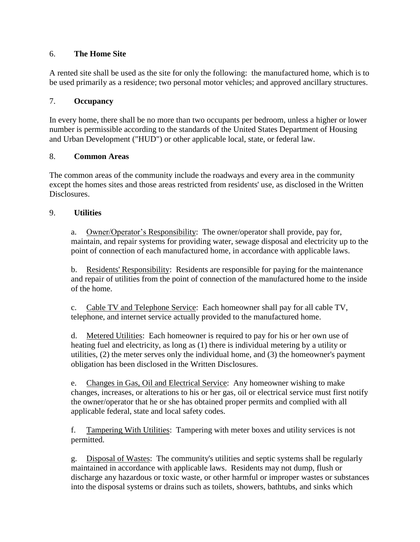## 6. **The Home Site**

A rented site shall be used as the site for only the following: the manufactured home, which is to be used primarily as a residence; two personal motor vehicles; and approved ancillary structures.

#### 7. **Occupancy**

In every home, there shall be no more than two occupants per bedroom, unless a higher or lower number is permissible according to the standards of the United States Department of Housing and Urban Development ("HUD") or other applicable local, state, or federal law.

#### 8. **Common Areas**

The common areas of the community include the roadways and every area in the community except the homes sites and those areas restricted from residents' use, as disclosed in the Written Disclosures.

#### 9. **Utilities**

a. Owner/Operator's Responsibility: The owner/operator shall provide, pay for, maintain, and repair systems for providing water, sewage disposal and electricity up to the point of connection of each manufactured home, in accordance with applicable laws.

b. Residents' Responsibility: Residents are responsible for paying for the maintenance and repair of utilities from the point of connection of the manufactured home to the inside of the home.

c. Cable TV and Telephone Service: Each homeowner shall pay for all cable TV, telephone, and internet service actually provided to the manufactured home.

d. Metered Utilities: Each homeowner is required to pay for his or her own use of heating fuel and electricity, as long as (1) there is individual metering by a utility or utilities, (2) the meter serves only the individual home, and (3) the homeowner's payment obligation has been disclosed in the Written Disclosures.

e. Changes in Gas, Oil and Electrical Service: Any homeowner wishing to make changes, increases, or alterations to his or her gas, oil or electrical service must first notify the owner/operator that he or she has obtained proper permits and complied with all applicable federal, state and local safety codes.

f. Tampering With Utilities: Tampering with meter boxes and utility services is not permitted.

g. Disposal of Wastes: The community's utilities and septic systems shall be regularly maintained in accordance with applicable laws. Residents may not dump, flush or discharge any hazardous or toxic waste, or other harmful or improper wastes or substances into the disposal systems or drains such as toilets, showers, bathtubs, and sinks which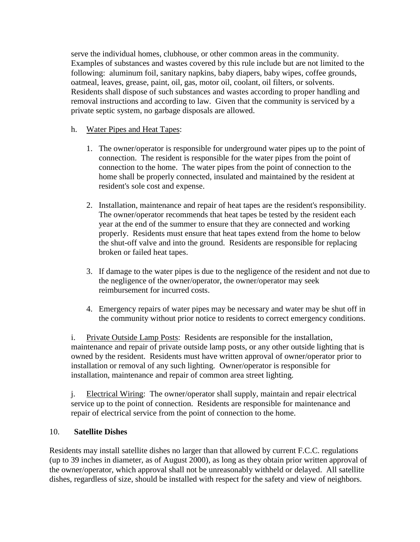serve the individual homes, clubhouse, or other common areas in the community. Examples of substances and wastes covered by this rule include but are not limited to the following: aluminum foil, sanitary napkins, baby diapers, baby wipes, coffee grounds, oatmeal, leaves, grease, paint, oil, gas, motor oil, coolant, oil filters, or solvents. Residents shall dispose of such substances and wastes according to proper handling and removal instructions and according to law. Given that the community is serviced by a private septic system, no garbage disposals are allowed.

# h. Water Pipes and Heat Tapes:

- 1. The owner/operator is responsible for underground water pipes up to the point of connection. The resident is responsible for the water pipes from the point of connection to the home. The water pipes from the point of connection to the home shall be properly connected, insulated and maintained by the resident at resident's sole cost and expense.
- 2. Installation, maintenance and repair of heat tapes are the resident's responsibility. The owner/operator recommends that heat tapes be tested by the resident each year at the end of the summer to ensure that they are connected and working properly. Residents must ensure that heat tapes extend from the home to below the shut-off valve and into the ground. Residents are responsible for replacing broken or failed heat tapes.
- 3. If damage to the water pipes is due to the negligence of the resident and not due to the negligence of the owner/operator, the owner/operator may seek reimbursement for incurred costs.
- 4. Emergency repairs of water pipes may be necessary and water may be shut off in the community without prior notice to residents to correct emergency conditions.

i. Private Outside Lamp Posts: Residents are responsible for the installation, maintenance and repair of private outside lamp posts, or any other outside lighting that is owned by the resident. Residents must have written approval of owner/operator prior to installation or removal of any such lighting. Owner/operator is responsible for installation, maintenance and repair of common area street lighting.

j. Electrical Wiring: The owner/operator shall supply, maintain and repair electrical service up to the point of connection. Residents are responsible for maintenance and repair of electrical service from the point of connection to the home.

#### 10. **Satellite Dishes**

Residents may install satellite dishes no larger than that allowed by current F.C.C. regulations (up to 39 inches in diameter, as of August 2000), as long as they obtain prior written approval of the owner/operator, which approval shall not be unreasonably withheld or delayed. All satellite dishes, regardless of size, should be installed with respect for the safety and view of neighbors.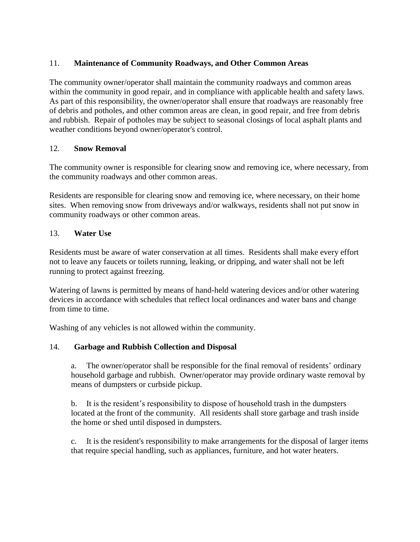# 11. **Maintenance of Community Roadways, and Other Common Areas**

The community owner/operator shall maintain the community roadways and common areas within the community in good repair, and in compliance with applicable health and safety laws. As part of this responsibility, the owner/operator shall ensure that roadways are reasonably free of debris and potholes, and other common areas are clean, in good repair, and free from debris and rubbish. Repair of potholes may be subject to seasonal closings of local asphalt plants and weather conditions beyond owner/operator's control.

## 12. **Snow Removal**

The community owner is responsible for clearing snow and removing ice, where necessary, from the community roadways and other common areas.

Residents are responsible for clearing snow and removing ice, where necessary, on their home sites. When removing snow from driveways and/or walkways, residents shall not put snow in community roadways or other common areas.

# 13. **Water Use**

Residents must be aware of water conservation at all times. Residents shall make every effort not to leave any faucets or toilets running, leaking, or dripping, and water shall not be left running to protect against freezing.

Watering of lawns is permitted by means of hand-held watering devices and/or other watering devices in accordance with schedules that reflect local ordinances and water bans and change from time to time.

Washing of any vehicles is not allowed within the community.

# 14. **Garbage and Rubbish Collection and Disposal**

a. The owner/operator shall be responsible for the final removal of residents' ordinary household garbage and rubbish. Owner/operator may provide ordinary waste removal by means of dumpsters or curbside pickup.

b. It is the resident's responsibility to dispose of household trash in the dumpsters located at the front of the community. All residents shall store garbage and trash inside the home or shed until disposed in dumpsters.

c. It is the resident's responsibility to make arrangements for the disposal of larger items that require special handling, such as appliances, furniture, and hot water heaters.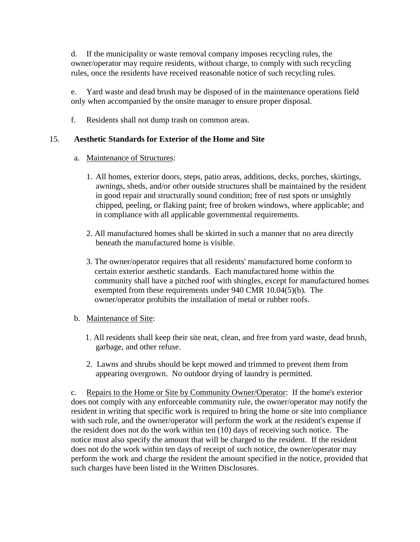d. If the municipality or waste removal company imposes recycling rules, the owner/operator may require residents, without charge, to comply with such recycling rules, once the residents have received reasonable notice of such recycling rules.

e. Yard waste and dead brush may be disposed of in the maintenance operations field only when accompanied by the onsite manager to ensure proper disposal.

f. Residents shall not dump trash on common areas.

#### 15. **Aesthetic Standards for Exterior of the Home and Site**

#### a. Maintenance of Structures:

- 1. All homes, exterior doors, steps, patio areas, additions, decks, porches, skirtings, awnings, sheds, and/or other outside structures shall be maintained by the resident in good repair and structurally sound condition; free of rust spots or unsightly chipped, peeling, or flaking paint; free of broken windows, where applicable; and in compliance with all applicable governmental requirements.
- 2. All manufactured homes shall be skirted in such a manner that no area directly beneath the manufactured home is visible.
- 3. The owner/operator requires that all residents' manufactured home conform to certain exterior aesthetic standards. Each manufactured home within the community shall have a pitched roof with shingles, except for manufactured homes exempted from these requirements under 940 CMR 10.04(5)(b). The owner/operator prohibits the installation of metal or rubber roofs.

## b. Maintenance of Site:

- 1. All residents shall keep their site neat, clean, and free from yard waste, dead brush, garbage, and other refuse.
- 2. Lawns and shrubs should be kept mowed and trimmed to prevent them from appearing overgrown. No outdoor drying of laundry is permitted.

c. Repairs to the Home or Site by Community Owner/Operator: If the home's exterior does not comply with any enforceable community rule, the owner/operator may notify the resident in writing that specific work is required to bring the home or site into compliance with such rule, and the owner/operator will perform the work at the resident's expense if the resident does not do the work within ten (10) days of receiving such notice. The notice must also specify the amount that will be charged to the resident. If the resident does not do the work within ten days of receipt of such notice, the owner/operator may perform the work and charge the resident the amount specified in the notice, provided that such charges have been listed in the Written Disclosures.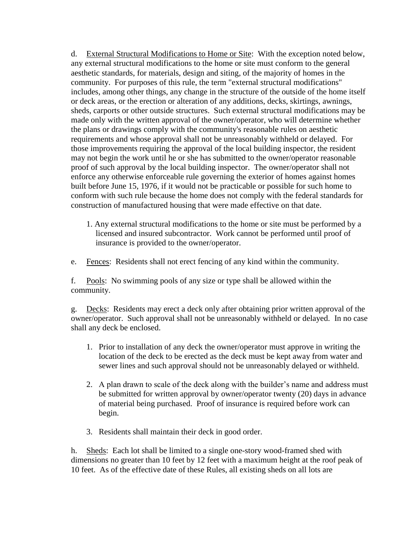d. External Structural Modifications to Home or Site: With the exception noted below, any external structural modifications to the home or site must conform to the general aesthetic standards, for materials, design and siting, of the majority of homes in the community. For purposes of this rule, the term "external structural modifications" includes, among other things, any change in the structure of the outside of the home itself or deck areas, or the erection or alteration of any additions, decks, skirtings, awnings, sheds, carports or other outside structures. Such external structural modifications may be made only with the written approval of the owner/operator, who will determine whether the plans or drawings comply with the community's reasonable rules on aesthetic requirements and whose approval shall not be unreasonably withheld or delayed. For those improvements requiring the approval of the local building inspector, the resident may not begin the work until he or she has submitted to the owner/operator reasonable proof of such approval by the local building inspector. The owner/operator shall not enforce any otherwise enforceable rule governing the exterior of homes against homes built before June 15, 1976, if it would not be practicable or possible for such home to conform with such rule because the home does not comply with the federal standards for construction of manufactured housing that were made effective on that date.

- 1. Any external structural modifications to the home or site must be performed by a licensed and insured subcontractor. Work cannot be performed until proof of insurance is provided to the owner/operator.
- e. Fences: Residents shall not erect fencing of any kind within the community.

f. Pools: No swimming pools of any size or type shall be allowed within the community.

g. Decks: Residents may erect a deck only after obtaining prior written approval of the owner/operator. Such approval shall not be unreasonably withheld or delayed. In no case shall any deck be enclosed.

- 1. Prior to installation of any deck the owner/operator must approve in writing the location of the deck to be erected as the deck must be kept away from water and sewer lines and such approval should not be unreasonably delayed or withheld.
- 2. A plan drawn to scale of the deck along with the builder's name and address must be submitted for written approval by owner/operator twenty (20) days in advance of material being purchased. Proof of insurance is required before work can begin.
- 3. Residents shall maintain their deck in good order.

h. Sheds: Each lot shall be limited to a single one-story wood-framed shed with dimensions no greater than 10 feet by 12 feet with a maximum height at the roof peak of 10 feet. As of the effective date of these Rules, all existing sheds on all lots are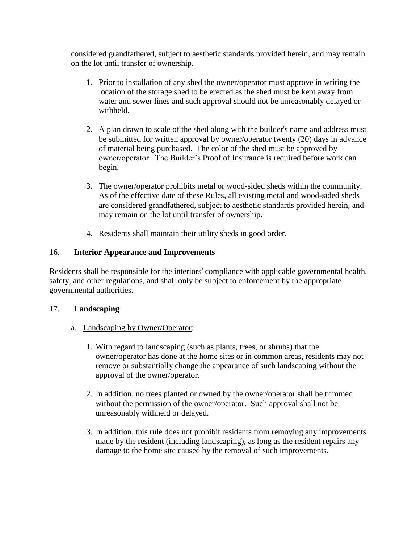considered grandfathered, subject to aesthetic standards provided herein, and may remain on the lot until transfer of ownership.

- 1. Prior to installation of any shed the owner/operator must approve in writing the location of the storage shed to be erected as the shed must be kept away from water and sewer lines and such approval should not be unreasonably delayed or withheld.
- 2. A plan drawn to scale of the shed along with the builder's name and address must be submitted for written approval by owner/operator twenty (20) days in advance of material being purchased. The color of the shed must be approved by owner/operator. The Builder's Proof of Insurance is required before work can begin.
- 3. The owner/operator prohibits metal or wood-sided sheds within the community. As of the effective date of these Rules, all existing metal and wood-sided sheds are considered grandfathered, subject to aesthetic standards provided herein, and may remain on the lot until transfer of ownership.
- 4. Residents shall maintain their utility sheds in good order.

# 16. **Interior Appearance and Improvements**

Residents shall be responsible for the interiors' compliance with applicable governmental health, safety, and other regulations, and shall only be subject to enforcement by the appropriate governmental authorities.

## 17. **Landscaping**

- a. Landscaping by Owner/Operator:
	- 1. With regard to landscaping (such as plants, trees, or shrubs) that the owner/operator has done at the home sites or in common areas, residents may not remove or substantially change the appearance of such landscaping without the approval of the owner/operator.
	- 2. In addition, no trees planted or owned by the owner/operator shall be trimmed without the permission of the owner/operator. Such approval shall not be unreasonably withheld or delayed.
	- 3. In addition, this rule does not prohibit residents from removing any improvements made by the resident (including landscaping), as long as the resident repairs any damage to the home site caused by the removal of such improvements.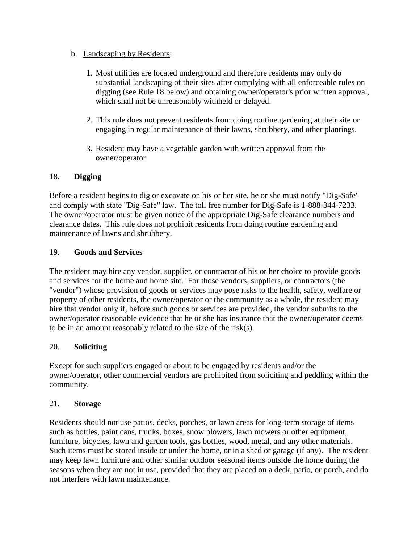#### b. Landscaping by Residents:

- 1. Most utilities are located underground and therefore residents may only do substantial landscaping of their sites after complying with all enforceable rules on digging (see Rule 18 below) and obtaining owner/operator's prior written approval, which shall not be unreasonably withheld or delayed.
- 2. This rule does not prevent residents from doing routine gardening at their site or engaging in regular maintenance of their lawns, shrubbery, and other plantings.
- 3. Resident may have a vegetable garden with written approval from the owner/operator.

## 18. **Digging**

Before a resident begins to dig or excavate on his or her site, he or she must notify "Dig-Safe" and comply with state "Dig-Safe" law. The toll free number for Dig-Safe is 1-888-344-7233. The owner/operator must be given notice of the appropriate Dig-Safe clearance numbers and clearance dates. This rule does not prohibit residents from doing routine gardening and maintenance of lawns and shrubbery.

## 19. **Goods and Services**

The resident may hire any vendor, supplier, or contractor of his or her choice to provide goods and services for the home and home site. For those vendors, suppliers, or contractors (the "vendor") whose provision of goods or services may pose risks to the health, safety, welfare or property of other residents, the owner/operator or the community as a whole, the resident may hire that vendor only if, before such goods or services are provided, the vendor submits to the owner/operator reasonable evidence that he or she has insurance that the owner/operator deems to be in an amount reasonably related to the size of the risk(s).

## 20. **Soliciting**

Except for such suppliers engaged or about to be engaged by residents and/or the owner/operator, other commercial vendors are prohibited from soliciting and peddling within the community.

# 21. **Storage**

Residents should not use patios, decks, porches, or lawn areas for long-term storage of items such as bottles, paint cans, trunks, boxes, snow blowers, lawn mowers or other equipment, furniture, bicycles, lawn and garden tools, gas bottles, wood, metal, and any other materials. Such items must be stored inside or under the home, or in a shed or garage (if any). The resident may keep lawn furniture and other similar outdoor seasonal items outside the home during the seasons when they are not in use, provided that they are placed on a deck, patio, or porch, and do not interfere with lawn maintenance.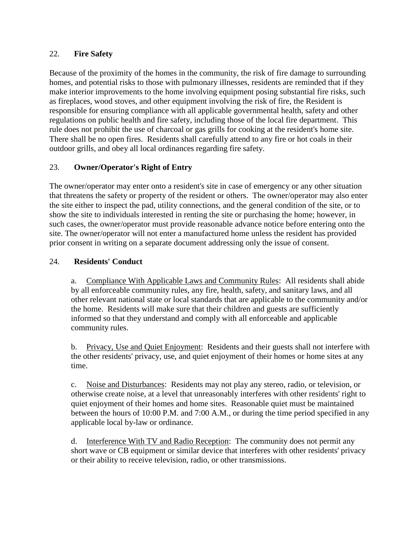#### 22. **Fire Safety**

Because of the proximity of the homes in the community, the risk of fire damage to surrounding homes, and potential risks to those with pulmonary illnesses, residents are reminded that if they make interior improvements to the home involving equipment posing substantial fire risks, such as fireplaces, wood stoves, and other equipment involving the risk of fire, the Resident is responsible for ensuring compliance with all applicable governmental health, safety and other regulations on public health and fire safety, including those of the local fire department. This rule does not prohibit the use of charcoal or gas grills for cooking at the resident's home site. There shall be no open fires. Residents shall carefully attend to any fire or hot coals in their outdoor grills, and obey all local ordinances regarding fire safety.

## 23. **Owner/Operator's Right of Entry**

The owner/operator may enter onto a resident's site in case of emergency or any other situation that threatens the safety or property of the resident or others. The owner/operator may also enter the site either to inspect the pad, utility connections, and the general condition of the site, or to show the site to individuals interested in renting the site or purchasing the home; however, in such cases, the owner/operator must provide reasonable advance notice before entering onto the site. The owner/operator will not enter a manufactured home unless the resident has provided prior consent in writing on a separate document addressing only the issue of consent.

#### 24. **Residents' Conduct**

a. Compliance With Applicable Laws and Community Rules: All residents shall abide by all enforceable community rules, any fire, health, safety, and sanitary laws, and all other relevant national state or local standards that are applicable to the community and/or the home. Residents will make sure that their children and guests are sufficiently informed so that they understand and comply with all enforceable and applicable community rules.

b. Privacy, Use and Quiet Enjoyment: Residents and their guests shall not interfere with the other residents' privacy, use, and quiet enjoyment of their homes or home sites at any time.

c. Noise and Disturbances: Residents may not play any stereo, radio, or television, or otherwise create noise, at a level that unreasonably interferes with other residents' right to quiet enjoyment of their homes and home sites. Reasonable quiet must be maintained between the hours of 10:00 P.M. and 7:00 A.M., or during the time period specified in any applicable local by-law or ordinance.

d. Interference With TV and Radio Reception: The community does not permit any short wave or CB equipment or similar device that interferes with other residents' privacy or their ability to receive television, radio, or other transmissions.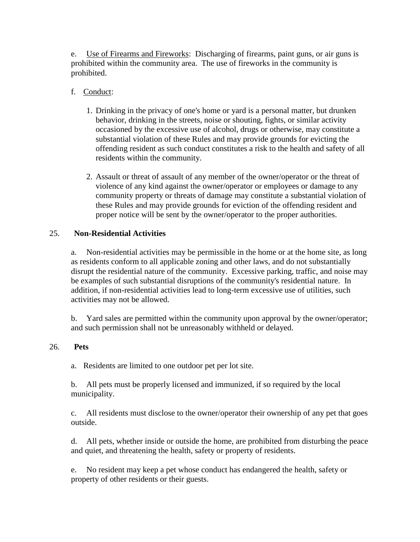e. Use of Firearms and Fireworks: Discharging of firearms, paint guns, or air guns is prohibited within the community area. The use of fireworks in the community is prohibited.

# f. Conduct:

- 1. Drinking in the privacy of one's home or yard is a personal matter, but drunken behavior, drinking in the streets, noise or shouting, fights, or similar activity occasioned by the excessive use of alcohol, drugs or otherwise, may constitute a substantial violation of these Rules and may provide grounds for evicting the offending resident as such conduct constitutes a risk to the health and safety of all residents within the community.
- 2. Assault or threat of assault of any member of the owner/operator or the threat of violence of any kind against the owner/operator or employees or damage to any community property or threats of damage may constitute a substantial violation of these Rules and may provide grounds for eviction of the offending resident and proper notice will be sent by the owner/operator to the proper authorities.

## 25. **Non-Residential Activities**

a. Non-residential activities may be permissible in the home or at the home site, as long as residents conform to all applicable zoning and other laws, and do not substantially disrupt the residential nature of the community. Excessive parking, traffic, and noise may be examples of such substantial disruptions of the community's residential nature. In addition, if non-residential activities lead to long-term excessive use of utilities, such activities may not be allowed.

b. Yard sales are permitted within the community upon approval by the owner/operator; and such permission shall not be unreasonably withheld or delayed.

## 26. **Pets**

a. Residents are limited to one outdoor pet per lot site.

b. All pets must be properly licensed and immunized, if so required by the local municipality.

c. All residents must disclose to the owner/operator their ownership of any pet that goes outside.

d. All pets, whether inside or outside the home, are prohibited from disturbing the peace and quiet, and threatening the health, safety or property of residents.

e. No resident may keep a pet whose conduct has endangered the health, safety or property of other residents or their guests.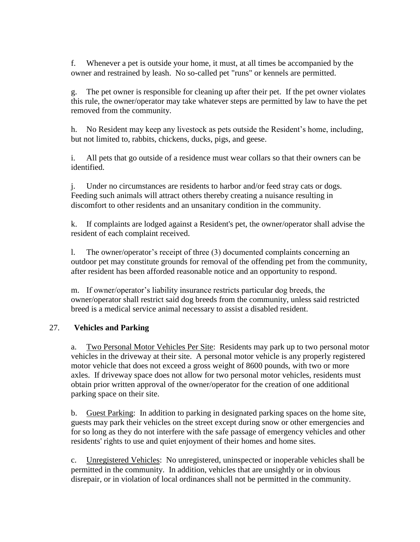f. Whenever a pet is outside your home, it must, at all times be accompanied by the owner and restrained by leash. No so-called pet "runs" or kennels are permitted.

g. The pet owner is responsible for cleaning up after their pet. If the pet owner violates this rule, the owner/operator may take whatever steps are permitted by law to have the pet removed from the community.

h. No Resident may keep any livestock as pets outside the Resident's home, including, but not limited to, rabbits, chickens, ducks, pigs, and geese.

i. All pets that go outside of a residence must wear collars so that their owners can be identified.

j. Under no circumstances are residents to harbor and/or feed stray cats or dogs. Feeding such animals will attract others thereby creating a nuisance resulting in discomfort to other residents and an unsanitary condition in the community.

k. If complaints are lodged against a Resident's pet, the owner/operator shall advise the resident of each complaint received.

l. The owner/operator's receipt of three (3) documented complaints concerning an outdoor pet may constitute grounds for removal of the offending pet from the community, after resident has been afforded reasonable notice and an opportunity to respond.

m. If owner/operator's liability insurance restricts particular dog breeds, the owner/operator shall restrict said dog breeds from the community, unless said restricted breed is a medical service animal necessary to assist a disabled resident.

## 27. **Vehicles and Parking**

a. Two Personal Motor Vehicles Per Site: Residents may park up to two personal motor vehicles in the driveway at their site. A personal motor vehicle is any properly registered motor vehicle that does not exceed a gross weight of 8600 pounds, with two or more axles. If driveway space does not allow for two personal motor vehicles, residents must obtain prior written approval of the owner/operator for the creation of one additional parking space on their site.

b. Guest Parking: In addition to parking in designated parking spaces on the home site, guests may park their vehicles on the street except during snow or other emergencies and for so long as they do not interfere with the safe passage of emergency vehicles and other residents' rights to use and quiet enjoyment of their homes and home sites.

c. Unregistered Vehicles: No unregistered, uninspected or inoperable vehicles shall be permitted in the community. In addition, vehicles that are unsightly or in obvious disrepair, or in violation of local ordinances shall not be permitted in the community.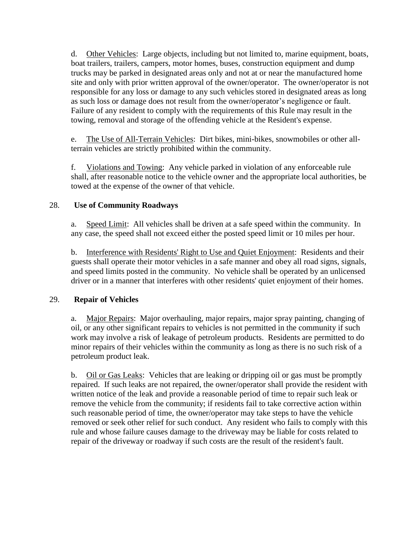d. Other Vehicles: Large objects, including but not limited to, marine equipment, boats, boat trailers, trailers, campers, motor homes, buses, construction equipment and dump trucks may be parked in designated areas only and not at or near the manufactured home site and only with prior written approval of the owner/operator. The owner/operator is not responsible for any loss or damage to any such vehicles stored in designated areas as long as such loss or damage does not result from the owner/operator's negligence or fault. Failure of any resident to comply with the requirements of this Rule may result in the towing, removal and storage of the offending vehicle at the Resident's expense.

e. The Use of All-Terrain Vehicles: Dirt bikes, mini-bikes, snowmobiles or other allterrain vehicles are strictly prohibited within the community.

f. Violations and Towing: Any vehicle parked in violation of any enforceable rule shall, after reasonable notice to the vehicle owner and the appropriate local authorities, be towed at the expense of the owner of that vehicle.

#### 28. **Use of Community Roadways**

a. Speed Limit: All vehicles shall be driven at a safe speed within the community. In any case, the speed shall not exceed either the posted speed limit or 10 miles per hour.

b. Interference with Residents' Right to Use and Quiet Enjoyment: Residents and their guests shall operate their motor vehicles in a safe manner and obey all road signs, signals, and speed limits posted in the community. No vehicle shall be operated by an unlicensed driver or in a manner that interferes with other residents' quiet enjoyment of their homes.

## 29. **Repair of Vehicles**

a. Major Repairs: Major overhauling, major repairs, major spray painting, changing of oil, or any other significant repairs to vehicles is not permitted in the community if such work may involve a risk of leakage of petroleum products. Residents are permitted to do minor repairs of their vehicles within the community as long as there is no such risk of a petroleum product leak.

b. Oil or Gas Leaks: Vehicles that are leaking or dripping oil or gas must be promptly repaired. If such leaks are not repaired, the owner/operator shall provide the resident with written notice of the leak and provide a reasonable period of time to repair such leak or remove the vehicle from the community; if residents fail to take corrective action within such reasonable period of time, the owner/operator may take steps to have the vehicle removed or seek other relief for such conduct. Any resident who fails to comply with this rule and whose failure causes damage to the driveway may be liable for costs related to repair of the driveway or roadway if such costs are the result of the resident's fault.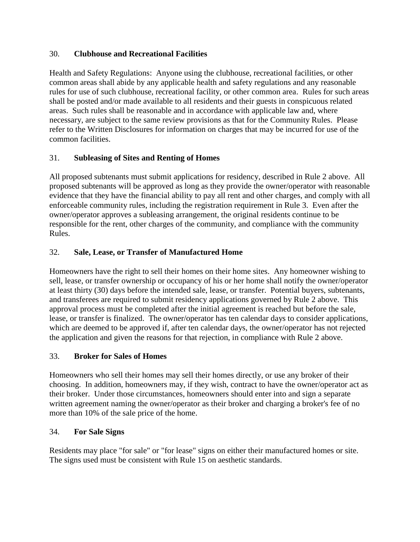## 30. **Clubhouse and Recreational Facilities**

Health and Safety Regulations: Anyone using the clubhouse, recreational facilities, or other common areas shall abide by any applicable health and safety regulations and any reasonable rules for use of such clubhouse, recreational facility, or other common area. Rules for such areas shall be posted and/or made available to all residents and their guests in conspicuous related areas. Such rules shall be reasonable and in accordance with applicable law and, where necessary, are subject to the same review provisions as that for the Community Rules. Please refer to the Written Disclosures for information on charges that may be incurred for use of the common facilities.

# 31. **Subleasing of Sites and Renting of Homes**

All proposed subtenants must submit applications for residency, described in Rule 2 above. All proposed subtenants will be approved as long as they provide the owner/operator with reasonable evidence that they have the financial ability to pay all rent and other charges, and comply with all enforceable community rules, including the registration requirement in Rule 3. Even after the owner/operator approves a subleasing arrangement, the original residents continue to be responsible for the rent, other charges of the community, and compliance with the community Rules.

# 32. **Sale, Lease, or Transfer of Manufactured Home**

Homeowners have the right to sell their homes on their home sites. Any homeowner wishing to sell, lease, or transfer ownership or occupancy of his or her home shall notify the owner/operator at least thirty (30) days before the intended sale, lease, or transfer. Potential buyers, subtenants, and transferees are required to submit residency applications governed by Rule 2 above. This approval process must be completed after the initial agreement is reached but before the sale, lease, or transfer is finalized. The owner/operator has ten calendar days to consider applications, which are deemed to be approved if, after ten calendar days, the owner/operator has not rejected the application and given the reasons for that rejection, in compliance with Rule 2 above.

## 33. **Broker for Sales of Homes**

Homeowners who sell their homes may sell their homes directly, or use any broker of their choosing. In addition, homeowners may, if they wish, contract to have the owner/operator act as their broker. Under those circumstances, homeowners should enter into and sign a separate written agreement naming the owner/operator as their broker and charging a broker's fee of no more than 10% of the sale price of the home.

## 34. **For Sale Signs**

Residents may place "for sale" or "for lease" signs on either their manufactured homes or site. The signs used must be consistent with Rule 15 on aesthetic standards.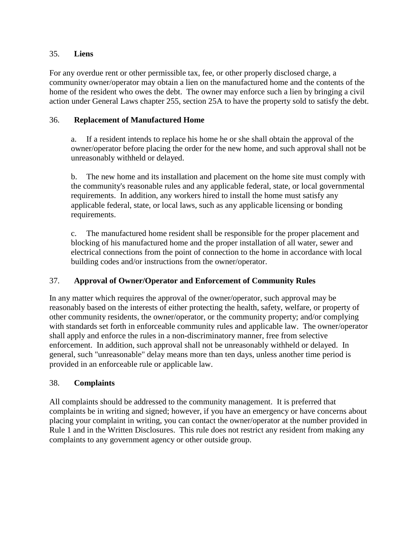#### 35. **Liens**

For any overdue rent or other permissible tax, fee, or other properly disclosed charge, a community owner/operator may obtain a lien on the manufactured home and the contents of the home of the resident who owes the debt. The owner may enforce such a lien by bringing a civil action under General Laws chapter 255, section 25A to have the property sold to satisfy the debt.

## 36. **Replacement of Manufactured Home**

a. If a resident intends to replace his home he or she shall obtain the approval of the owner/operator before placing the order for the new home, and such approval shall not be unreasonably withheld or delayed.

b. The new home and its installation and placement on the home site must comply with the community's reasonable rules and any applicable federal, state, or local governmental requirements. In addition, any workers hired to install the home must satisfy any applicable federal, state, or local laws, such as any applicable licensing or bonding requirements.

c. The manufactured home resident shall be responsible for the proper placement and blocking of his manufactured home and the proper installation of all water, sewer and electrical connections from the point of connection to the home in accordance with local building codes and/or instructions from the owner/operator.

## 37. **Approval of Owner/Operator and Enforcement of Community Rules**

In any matter which requires the approval of the owner/operator, such approval may be reasonably based on the interests of either protecting the health, safety, welfare, or property of other community residents, the owner/operator, or the community property; and/or complying with standards set forth in enforceable community rules and applicable law. The owner/operator shall apply and enforce the rules in a non-discriminatory manner, free from selective enforcement. In addition, such approval shall not be unreasonably withheld or delayed. In general, such "unreasonable" delay means more than ten days, unless another time period is provided in an enforceable rule or applicable law.

## 38. **Complaints**

All complaints should be addressed to the community management. It is preferred that complaints be in writing and signed; however, if you have an emergency or have concerns about placing your complaint in writing, you can contact the owner/operator at the number provided in Rule 1 and in the Written Disclosures. This rule does not restrict any resident from making any complaints to any government agency or other outside group.